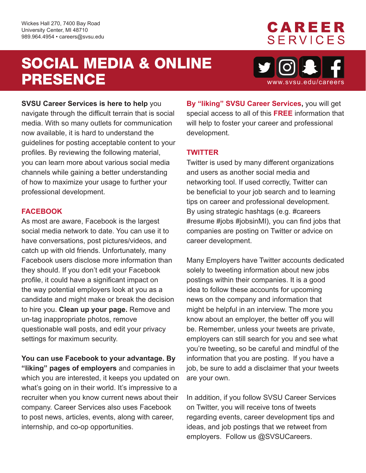Wickes Hall 270, 7400 Bay Road University Center, MI 48710 989.964.4954 • [careers@svsu.edu](mailto:careers@svsu.edu)

## SOCIAL MEDIA & ONLINE PRESENCE



**CAREER** 

**SERVICES** 

**SVSU Career Services is here to help** you

 navigate through the difficult terrain that is social media. With so many outlets for communication now available, it is hard to understand the guidelines for posting acceptable content to your profiles. By reviewing the following material, you can learn more about various social media channels while gaining a better understanding of how to maximize your usage to further your professional development.

### **FACEBOOK**

As most are aware, Facebook is the largest social media network to date. You can use it to have conversations, post pictures/videos, and catch up with old friends. Unfortunately, many Facebook users disclose more information than they should. If you don't edit your Facebook profile, it could have a significant impact on the way potential employers look at you as a candidate and might make or break the decision to hire you. **Clean up your page.** Remove and un-tag inappropriate photos, remove questionable wall posts, and edit your privacy settings for maximum security.

**You can use Facebook to your advantage. By "liking" pages of employers** and companies in which you are interested, it keeps you updated on what's going on in their world. It's impressive to a recruiter when you know current news about their company. Career Services also uses Facebook to post news, articles, events, along with career, internship, and co-op opportunities.

**By "liking" SVSU Career Services,** you will get special access to all of this **FREE** information that will help to foster your career and professional development.

### **TWITTER**

Twitter is used by many different organizations and users as another social media and networking tool. If used correctly, Twitter can be beneficial to your job search and to learning tips on career and professional development. By using strategic hashtags (e.g. #careers #resume #jobs #jobsinMI), you can find jobs that companies are posting on Twitter or advice on career development.

Many Employers have Twitter accounts dedicated solely to tweeting information about new jobs postings within their companies. It is a good idea to follow these accounts for upcoming news on the company and information that might be helpful in an interview. The more you know about an employer, the better off you will be. Remember, unless your tweets are private, employers can still search for you and see what you're tweeting, so be careful and mindful of the information that you are posting. If you have a job, be sure to add a disclaimer that your tweets are your own.

In addition, if you follow SVSU Career Services on Twitter, you will receive tons of tweets regarding events, career development tips and ideas, and job postings that we retweet from employers. Follow us @SVSUCareers.